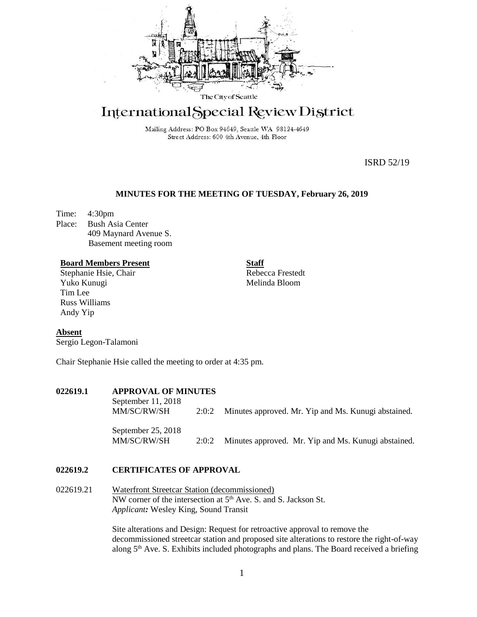

# International Special Review District

Mailing Address: PO Box 94649, Seattle WA 98124-4649 Street Address: 600 4th Avenue, 4th Floor

ISRD 52/19

## **MINUTES FOR THE MEETING OF TUESDAY, February 26, 2019**

Time: 4:30pm Place: Bush Asia Center 409 Maynard Avenue S. Basement meeting room

#### **Board Members Present**

Stephanie Hsie, Chair Yuko Kunugi Tim Lee Russ Williams Andy Yip

Rebecca Frestedt Melinda Bloom

**Staff**

## **Absent**

Sergio Legon-Talamoni

Chair Stephanie Hsie called the meeting to order at 4:35 pm.

## **022619.1 APPROVAL OF MINUTES**

September 11, 2018 MM/SC/RW/SH 2:0:2 Minutes approved. Mr. Yip and Ms. Kunugi abstained. September 25, 2018

MM/SC/RW/SH 2:0:2 Minutes approved. Mr. Yip and Ms. Kunugi abstained.

#### **022619.2 CERTIFICATES OF APPROVAL**

022619.21 Waterfront Streetcar Station (decommissioned) NW corner of the intersection at  $5<sup>th</sup>$  Ave. S. and S. Jackson St. *Applicant:* Wesley King, Sound Transit

> Site alterations and Design: Request for retroactive approval to remove the decommissioned streetcar station and proposed site alterations to restore the right-of-way along  $5<sup>th</sup>$  Ave. S. Exhibits included photographs and plans. The Board received a briefing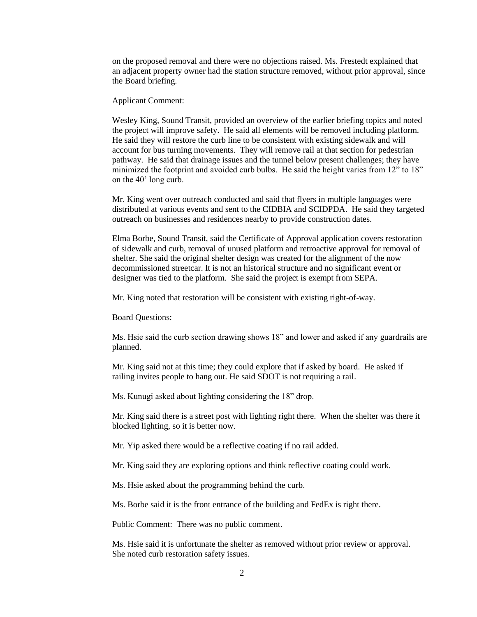on the proposed removal and there were no objections raised. Ms. Frestedt explained that an adjacent property owner had the station structure removed, without prior approval, since the Board briefing.

Applicant Comment:

Wesley King, Sound Transit, provided an overview of the earlier briefing topics and noted the project will improve safety. He said all elements will be removed including platform. He said they will restore the curb line to be consistent with existing sidewalk and will account for bus turning movements. They will remove rail at that section for pedestrian pathway. He said that drainage issues and the tunnel below present challenges; they have minimized the footprint and avoided curb bulbs. He said the height varies from 12" to 18" on the 40' long curb.

Mr. King went over outreach conducted and said that flyers in multiple languages were distributed at various events and sent to the CIDBIA and SCIDPDA. He said they targeted outreach on businesses and residences nearby to provide construction dates.

Elma Borbe, Sound Transit, said the Certificate of Approval application covers restoration of sidewalk and curb, removal of unused platform and retroactive approval for removal of shelter. She said the original shelter design was created for the alignment of the now decommissioned streetcar. It is not an historical structure and no significant event or designer was tied to the platform. She said the project is exempt from SEPA.

Mr. King noted that restoration will be consistent with existing right-of-way.

Board Questions:

Ms. Hsie said the curb section drawing shows 18" and lower and asked if any guardrails are planned.

Mr. King said not at this time; they could explore that if asked by board. He asked if railing invites people to hang out. He said SDOT is not requiring a rail.

Ms. Kunugi asked about lighting considering the 18" drop.

Mr. King said there is a street post with lighting right there. When the shelter was there it blocked lighting, so it is better now.

Mr. Yip asked there would be a reflective coating if no rail added.

Mr. King said they are exploring options and think reflective coating could work.

Ms. Hsie asked about the programming behind the curb.

Ms. Borbe said it is the front entrance of the building and FedEx is right there.

Public Comment: There was no public comment.

Ms. Hsie said it is unfortunate the shelter as removed without prior review or approval. She noted curb restoration safety issues.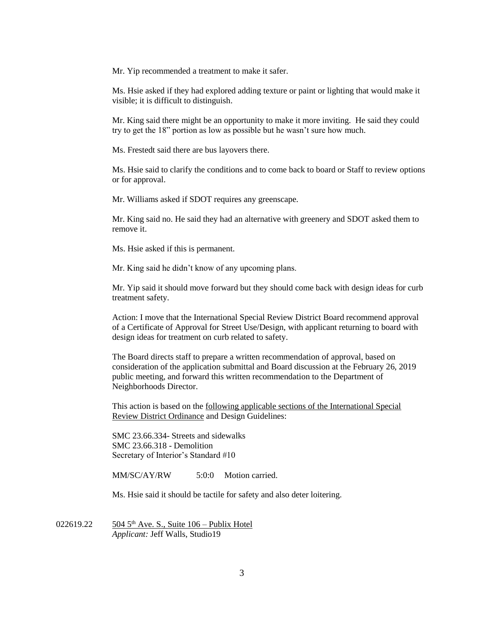Mr. Yip recommended a treatment to make it safer.

Ms. Hsie asked if they had explored adding texture or paint or lighting that would make it visible; it is difficult to distinguish.

Mr. King said there might be an opportunity to make it more inviting. He said they could try to get the 18" portion as low as possible but he wasn't sure how much.

Ms. Frestedt said there are bus layovers there.

Ms. Hsie said to clarify the conditions and to come back to board or Staff to review options or for approval.

Mr. Williams asked if SDOT requires any greenscape.

Mr. King said no. He said they had an alternative with greenery and SDOT asked them to remove it.

Ms. Hsie asked if this is permanent.

Mr. King said he didn't know of any upcoming plans.

Mr. Yip said it should move forward but they should come back with design ideas for curb treatment safety.

Action: I move that the International Special Review District Board recommend approval of a Certificate of Approval for Street Use/Design, with applicant returning to board with design ideas for treatment on curb related to safety.

The Board directs staff to prepare a written recommendation of approval, based on consideration of the application submittal and Board discussion at the February 26, 2019 public meeting, and forward this written recommendation to the Department of Neighborhoods Director.

This action is based on the following applicable sections of the International Special Review District Ordinance and Design Guidelines:

SMC 23.66.334- Streets and sidewalks SMC 23.66.318 - Demolition Secretary of Interior's Standard #10

MM/SC/AY/RW 5:0:0 Motion carried.

Ms. Hsie said it should be tactile for safety and also deter loitering.

022619.22  $504\,5^{th}$  Ave. S., Suite 106 – Publix Hotel *Applicant:* Jeff Walls, Studio19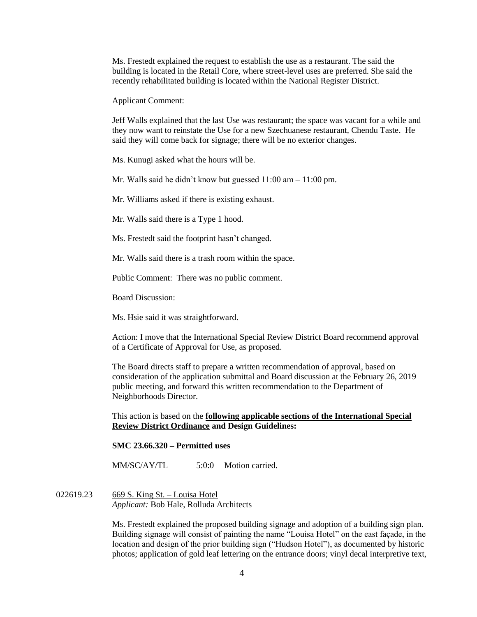Ms. Frestedt explained the request to establish the use as a restaurant. The said the building is located in the Retail Core, where street-level uses are preferred. She said the recently rehabilitated building is located within the National Register District.

Applicant Comment:

Jeff Walls explained that the last Use was restaurant; the space was vacant for a while and they now want to reinstate the Use for a new Szechuanese restaurant, Chendu Taste. He said they will come back for signage; there will be no exterior changes.

Ms. Kunugi asked what the hours will be.

Mr. Walls said he didn't know but guessed 11:00 am – 11:00 pm.

Mr. Williams asked if there is existing exhaust.

Mr. Walls said there is a Type 1 hood.

Ms. Frestedt said the footprint hasn't changed.

Mr. Walls said there is a trash room within the space.

Public Comment: There was no public comment.

Board Discussion:

Ms. Hsie said it was straightforward.

Action: I move that the International Special Review District Board recommend approval of a Certificate of Approval for Use, as proposed.

The Board directs staff to prepare a written recommendation of approval, based on consideration of the application submittal and Board discussion at the February 26, 2019 public meeting, and forward this written recommendation to the Department of Neighborhoods Director.

This action is based on the **following applicable sections of the International Special Review District Ordinance and Design Guidelines:** 

**SMC 23.66.320 – Permitted uses**

MM/SC/AY/TL 5:0:0 Motion carried.

## 022619.23 669 S. King St. – Louisa Hotel *Applicant:* Bob Hale, Rolluda Architects

Ms. Frestedt explained the proposed building signage and adoption of a building sign plan. Building signage will consist of painting the name "Louisa Hotel" on the east façade, in the location and design of the prior building sign ("Hudson Hotel"), as documented by historic photos; application of gold leaf lettering on the entrance doors; vinyl decal interpretive text,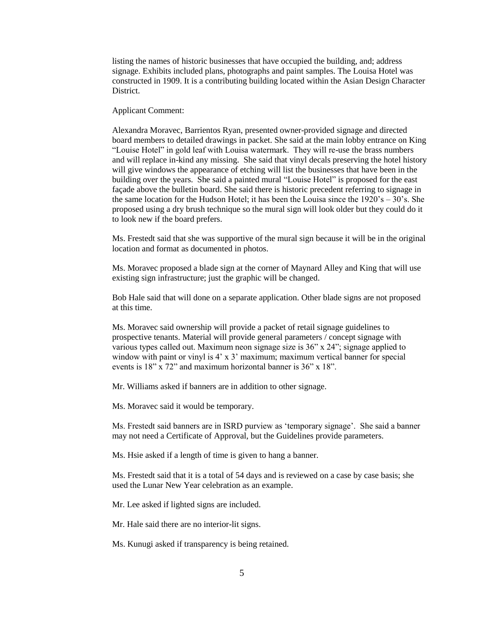listing the names of historic businesses that have occupied the building, and; address signage. Exhibits included plans, photographs and paint samples. The Louisa Hotel was constructed in 1909. It is a contributing building located within the Asian Design Character District.

Applicant Comment:

Alexandra Moravec, Barrientos Ryan, presented owner-provided signage and directed board members to detailed drawings in packet. She said at the main lobby entrance on King "Louise Hotel" in gold leaf with Louisa watermark. They will re-use the brass numbers and will replace in-kind any missing. She said that vinyl decals preserving the hotel history will give windows the appearance of etching will list the businesses that have been in the building over the years. She said a painted mural "Louise Hotel" is proposed for the east façade above the bulletin board. She said there is historic precedent referring to signage in the same location for the Hudson Hotel; it has been the Louisa since the  $1920's - 30's$ . She proposed using a dry brush technique so the mural sign will look older but they could do it to look new if the board prefers.

Ms. Frestedt said that she was supportive of the mural sign because it will be in the original location and format as documented in photos.

Ms. Moravec proposed a blade sign at the corner of Maynard Alley and King that will use existing sign infrastructure; just the graphic will be changed.

Bob Hale said that will done on a separate application. Other blade signs are not proposed at this time.

Ms. Moravec said ownership will provide a packet of retail signage guidelines to prospective tenants. Material will provide general parameters / concept signage with various types called out. Maximum neon signage size is 36" x 24"; signage applied to window with paint or vinyl is  $4' \times 3'$  maximum; maximum vertical banner for special events is 18" x 72" and maximum horizontal banner is 36" x 18".

Mr. Williams asked if banners are in addition to other signage.

Ms. Moravec said it would be temporary.

Ms. Frestedt said banners are in ISRD purview as 'temporary signage'. She said a banner may not need a Certificate of Approval, but the Guidelines provide parameters.

Ms. Hsie asked if a length of time is given to hang a banner.

Ms. Frestedt said that it is a total of 54 days and is reviewed on a case by case basis; she used the Lunar New Year celebration as an example.

Mr. Lee asked if lighted signs are included.

Mr. Hale said there are no interior-lit signs.

Ms. Kunugi asked if transparency is being retained.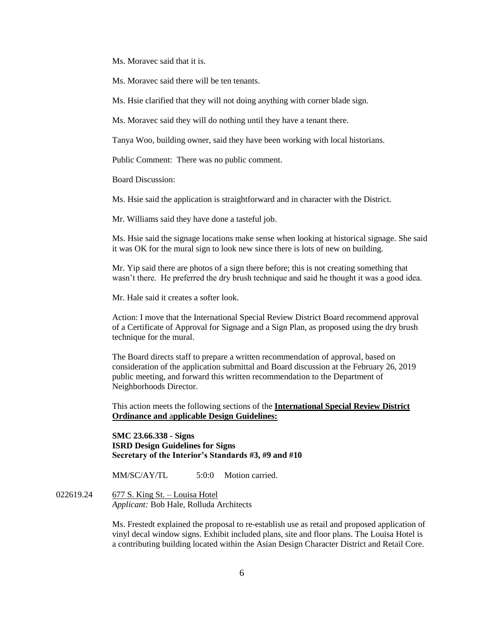Ms. Moravec said that it is.

Ms. Moravec said there will be ten tenants.

Ms. Hsie clarified that they will not doing anything with corner blade sign.

Ms. Moravec said they will do nothing until they have a tenant there.

Tanya Woo, building owner, said they have been working with local historians.

Public Comment: There was no public comment.

Board Discussion:

Ms. Hsie said the application is straightforward and in character with the District.

Mr. Williams said they have done a tasteful job.

Ms. Hsie said the signage locations make sense when looking at historical signage. She said it was OK for the mural sign to look new since there is lots of new on building.

Mr. Yip said there are photos of a sign there before; this is not creating something that wasn't there. He preferred the dry brush technique and said he thought it was a good idea.

Mr. Hale said it creates a softer look.

Action: I move that the International Special Review District Board recommend approval of a Certificate of Approval for Signage and a Sign Plan, as proposed using the dry brush technique for the mural.

The Board directs staff to prepare a written recommendation of approval, based on consideration of the application submittal and Board discussion at the February 26, 2019 public meeting, and forward this written recommendation to the Department of Neighborhoods Director.

This action meets the following sections of the **International Special Review District Ordinance and** a**pplicable Design Guidelines:**

**SMC 23.66.338 - Signs ISRD Design Guidelines for Signs Secretary of the Interior's Standards #3, #9 and #10**

MM/SC/AY/TL 5:0:0 Motion carried.

022619.24 677 S. King St. – Louisa Hotel *Applicant:* Bob Hale, Rolluda Architects

> Ms. Frestedt explained the proposal to re-establish use as retail and proposed application of vinyl decal window signs. Exhibit included plans, site and floor plans. The Louisa Hotel is a contributing building located within the Asian Design Character District and Retail Core.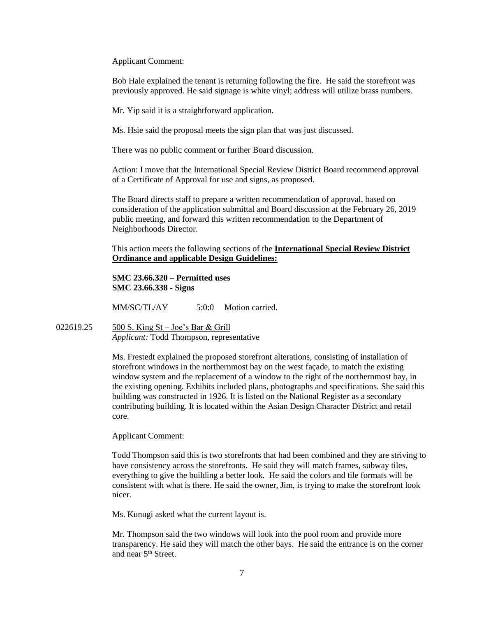Applicant Comment:

Bob Hale explained the tenant is returning following the fire. He said the storefront was previously approved. He said signage is white vinyl; address will utilize brass numbers.

Mr. Yip said it is a straightforward application.

Ms. Hsie said the proposal meets the sign plan that was just discussed.

There was no public comment or further Board discussion.

Action: I move that the International Special Review District Board recommend approval of a Certificate of Approval for use and signs, as proposed.

The Board directs staff to prepare a written recommendation of approval, based on consideration of the application submittal and Board discussion at the February 26, 2019 public meeting, and forward this written recommendation to the Department of Neighborhoods Director.

This action meets the following sections of the **International Special Review District Ordinance and** a**pplicable Design Guidelines:**

**SMC 23.66.320 – Permitted uses SMC 23.66.338 - Signs**

MM/SC/TL/AY 5:0:0 Motion carried.

022619.25 500 S. King St – Joe's Bar & Grill *Applicant:* Todd Thompson, representative

> Ms. Frestedt explained the proposed storefront alterations, consisting of installation of storefront windows in the northernmost bay on the west façade, to match the existing window system and the replacement of a window to the right of the northernmost bay, in the existing opening. Exhibits included plans, photographs and specifications. She said this building was constructed in 1926. It is listed on the National Register as a secondary contributing building. It is located within the Asian Design Character District and retail core.

Applicant Comment:

Todd Thompson said this is two storefronts that had been combined and they are striving to have consistency across the storefronts. He said they will match frames, subway tiles, everything to give the building a better look. He said the colors and tile formats will be consistent with what is there. He said the owner, Jim, is trying to make the storefront look nicer.

Ms. Kunugi asked what the current layout is.

Mr. Thompson said the two windows will look into the pool room and provide more transparency. He said they will match the other bays. He said the entrance is on the corner and near 5<sup>th</sup> Street.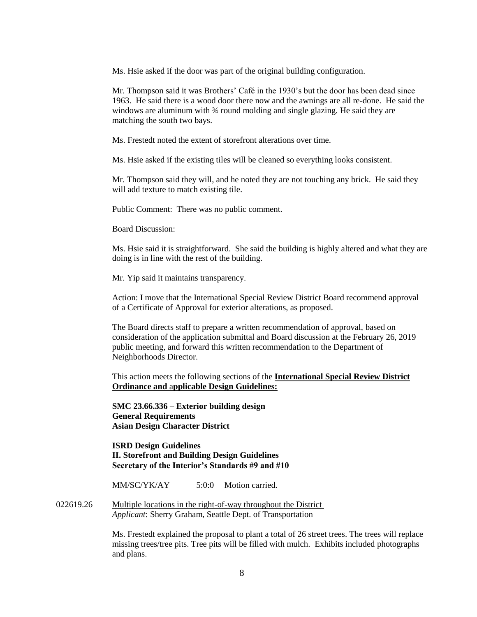Ms. Hsie asked if the door was part of the original building configuration.

Mr. Thompson said it was Brothers' Café in the 1930's but the door has been dead since 1963. He said there is a wood door there now and the awnings are all re-done. He said the windows are aluminum with  $\frac{3}{4}$  round molding and single glazing. He said they are matching the south two bays.

Ms. Frestedt noted the extent of storefront alterations over time.

Ms. Hsie asked if the existing tiles will be cleaned so everything looks consistent.

Mr. Thompson said they will, and he noted they are not touching any brick. He said they will add texture to match existing tile.

Public Comment: There was no public comment.

Board Discussion:

Ms. Hsie said it is straightforward. She said the building is highly altered and what they are doing is in line with the rest of the building.

Mr. Yip said it maintains transparency.

Action: I move that the International Special Review District Board recommend approval of a Certificate of Approval for exterior alterations, as proposed.

The Board directs staff to prepare a written recommendation of approval, based on consideration of the application submittal and Board discussion at the February 26, 2019 public meeting, and forward this written recommendation to the Department of Neighborhoods Director.

This action meets the following sections of the **International Special Review District Ordinance and** a**pplicable Design Guidelines:**

**SMC 23.66.336 – Exterior building design General Requirements Asian Design Character District** 

**ISRD Design Guidelines II. Storefront and Building Design Guidelines Secretary of the Interior's Standards #9 and #10**

MM/SC/YK/AY 5:0:0 Motion carried.

022619.26 Multiple locations in the right-of-way throughout the District *Applicant*: Sherry Graham, Seattle Dept. of Transportation

> Ms. Frestedt explained the proposal to plant a total of 26 street trees. The trees will replace missing trees/tree pits. Tree pits will be filled with mulch. Exhibits included photographs and plans.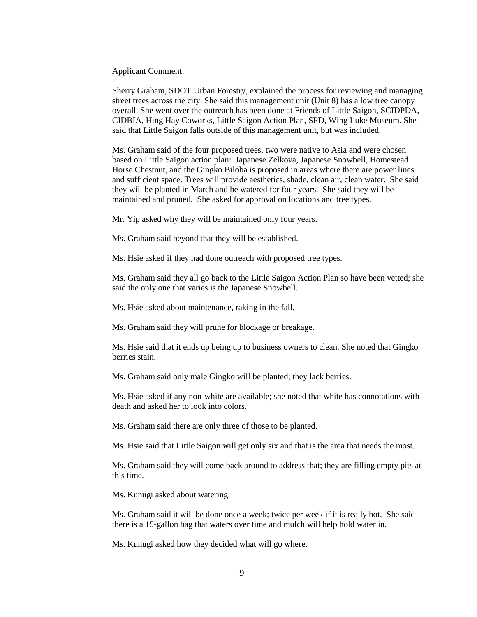Applicant Comment:

Sherry Graham, SDOT Urban Forestry, explained the process for reviewing and managing street trees across the city. She said this management unit (Unit 8) has a low tree canopy overall. She went over the outreach has been done at Friends of Little Saigon, SCIDPDA, CIDBIA, Hing Hay Coworks, Little Saigon Action Plan, SPD, Wing Luke Museum. She said that Little Saigon falls outside of this management unit, but was included.

Ms. Graham said of the four proposed trees, two were native to Asia and were chosen based on Little Saigon action plan: Japanese Zelkova, Japanese Snowbell, Homestead Horse Chestnut, and the Gingko Biloba is proposed in areas where there are power lines and sufficient space. Trees will provide aesthetics, shade, clean air, clean water. She said they will be planted in March and be watered for four years. She said they will be maintained and pruned. She asked for approval on locations and tree types.

Mr. Yip asked why they will be maintained only four years.

Ms. Graham said beyond that they will be established.

Ms. Hsie asked if they had done outreach with proposed tree types.

Ms. Graham said they all go back to the Little Saigon Action Plan so have been vetted; she said the only one that varies is the Japanese Snowbell.

Ms. Hsie asked about maintenance, raking in the fall.

Ms. Graham said they will prune for blockage or breakage.

Ms. Hsie said that it ends up being up to business owners to clean. She noted that Gingko berries stain.

Ms. Graham said only male Gingko will be planted; they lack berries.

Ms. Hsie asked if any non-white are available; she noted that white has connotations with death and asked her to look into colors.

Ms. Graham said there are only three of those to be planted.

Ms. Hsie said that Little Saigon will get only six and that is the area that needs the most.

Ms. Graham said they will come back around to address that; they are filling empty pits at this time.

Ms. Kunugi asked about watering.

Ms. Graham said it will be done once a week; twice per week if it is really hot. She said there is a 15-gallon bag that waters over time and mulch will help hold water in.

Ms. Kunugi asked how they decided what will go where.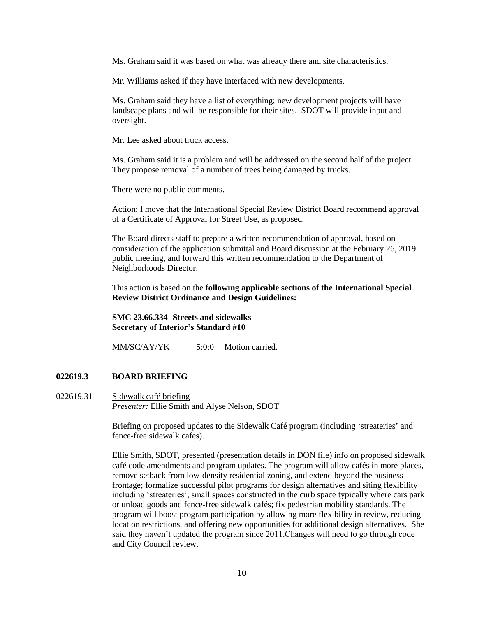Ms. Graham said it was based on what was already there and site characteristics.

Mr. Williams asked if they have interfaced with new developments.

Ms. Graham said they have a list of everything; new development projects will have landscape plans and will be responsible for their sites. SDOT will provide input and oversight.

Mr. Lee asked about truck access.

Ms. Graham said it is a problem and will be addressed on the second half of the project. They propose removal of a number of trees being damaged by trucks.

There were no public comments.

Action: I move that the International Special Review District Board recommend approval of a Certificate of Approval for Street Use, as proposed.

The Board directs staff to prepare a written recommendation of approval, based on consideration of the application submittal and Board discussion at the February 26, 2019 public meeting, and forward this written recommendation to the Department of Neighborhoods Director.

This action is based on the **following applicable sections of the International Special Review District Ordinance and Design Guidelines:** 

**SMC 23.66.334- Streets and sidewalks Secretary of Interior's Standard #10**

MM/SC/AY/YK 5:0:0 Motion carried.

#### **022619.3 BOARD BRIEFING**

022619.31 Sidewalk café briefing *Presenter:* Ellie Smith and Alyse Nelson, SDOT

> Briefing on proposed updates to the Sidewalk Café program (including 'streateries' and fence-free sidewalk cafes).

Ellie Smith, SDOT, presented (presentation details in DON file) info on proposed sidewalk café code amendments and program updates. The program will allow cafés in more places, remove setback from low-density residential zoning, and extend beyond the business frontage; formalize successful pilot programs for design alternatives and siting flexibility including 'streateries', small spaces constructed in the curb space typically where cars park or unload goods and fence-free sidewalk cafés; fix pedestrian mobility standards. The program will boost program participation by allowing more flexibility in review, reducing location restrictions, and offering new opportunities for additional design alternatives. She said they haven't updated the program since 2011.Changes will need to go through code and City Council review.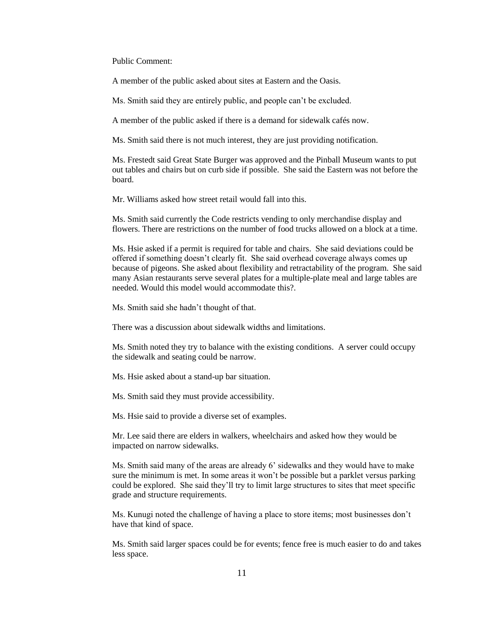Public Comment:

A member of the public asked about sites at Eastern and the Oasis.

Ms. Smith said they are entirely public, and people can't be excluded.

A member of the public asked if there is a demand for sidewalk cafés now.

Ms. Smith said there is not much interest, they are just providing notification.

Ms. Frestedt said Great State Burger was approved and the Pinball Museum wants to put out tables and chairs but on curb side if possible. She said the Eastern was not before the board.

Mr. Williams asked how street retail would fall into this.

Ms. Smith said currently the Code restricts vending to only merchandise display and flowers. There are restrictions on the number of food trucks allowed on a block at a time.

Ms. Hsie asked if a permit is required for table and chairs. She said deviations could be offered if something doesn't clearly fit. She said overhead coverage always comes up because of pigeons. She asked about flexibility and retractability of the program. She said many Asian restaurants serve several plates for a multiple-plate meal and large tables are needed. Would this model would accommodate this?.

Ms. Smith said she hadn't thought of that.

There was a discussion about sidewalk widths and limitations.

Ms. Smith noted they try to balance with the existing conditions. A server could occupy the sidewalk and seating could be narrow.

Ms. Hsie asked about a stand-up bar situation.

Ms. Smith said they must provide accessibility.

Ms. Hsie said to provide a diverse set of examples.

Mr. Lee said there are elders in walkers, wheelchairs and asked how they would be impacted on narrow sidewalks.

Ms. Smith said many of the areas are already 6' sidewalks and they would have to make sure the minimum is met. In some areas it won't be possible but a parklet versus parking could be explored. She said they'll try to limit large structures to sites that meet specific grade and structure requirements.

Ms. Kunugi noted the challenge of having a place to store items; most businesses don't have that kind of space.

Ms. Smith said larger spaces could be for events; fence free is much easier to do and takes less space.